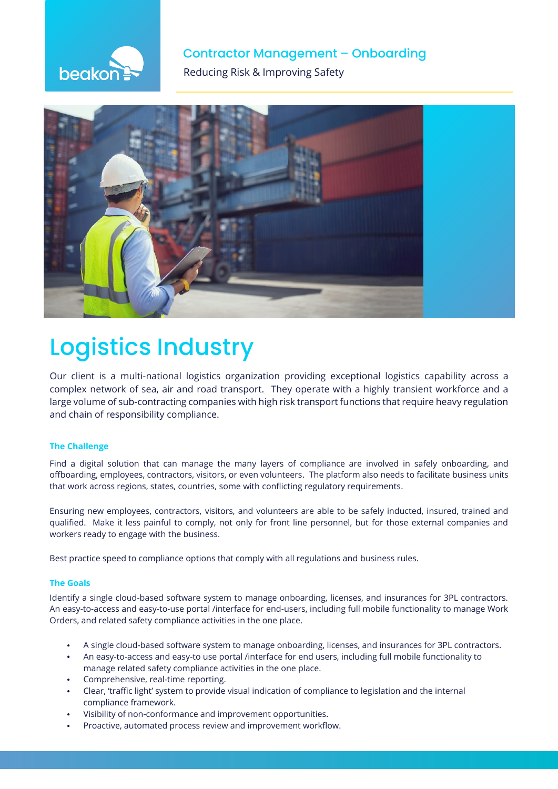

# **Contractor Management - Onboarding**

**The Reducing Risk & Improving Safety** 



# **Logistics Industry**

Our client is a multi-national logistics organization providing exceptional logistics capability across a complex network of sea, air and road transport. They operate with a highly transient workforce and a large volume of sub-contracting companies with high risk transport functions that require heavy regulation and chain of responsibility compliance.

# **The Challenge**

Find a digital solution that can manage the many layers of compliance are involved in safely onboarding, and offboarding, employees, contractors, visitors, or even volunteers. The platform also needs to facilitate business units that work across regions, states, countries, some with conflicting regulatory requirements.

Ensuring new employees, contractors, visitors, and volunteers are able to be safely inducted, insured, trained and qualified. Make it less painful to comply, not only for front line personnel, but for those external companies and workers ready to engage with the business.

Best practice speed to compliance options that comply with all regulations and business rules.

# **The Goals**

Identify a single cloud-based software system to manage onboarding, licenses, and insurances for 3PL contractors. An easy-to-access and easy-to-use portal /interface for end-users, including full mobile functionality to manage Work Orders, and related safety compliance activities in the one place.

- A single cloud-based software system to manage onboarding, licenses, and insurances for 3PL contractors.
- An easy-to-access and easy-to use portal /interface for end users, including full mobile functionality to manage related safety compliance activities in the one place.
- Comprehensive, real-time reporting.
- Clear, 'traffic light' system to provide visual indication of compliance to legislation and the internal compliance framework.
- Visibility of non-conformance and improvement opportunities.
- Proactive, automated process review and improvement workflow.